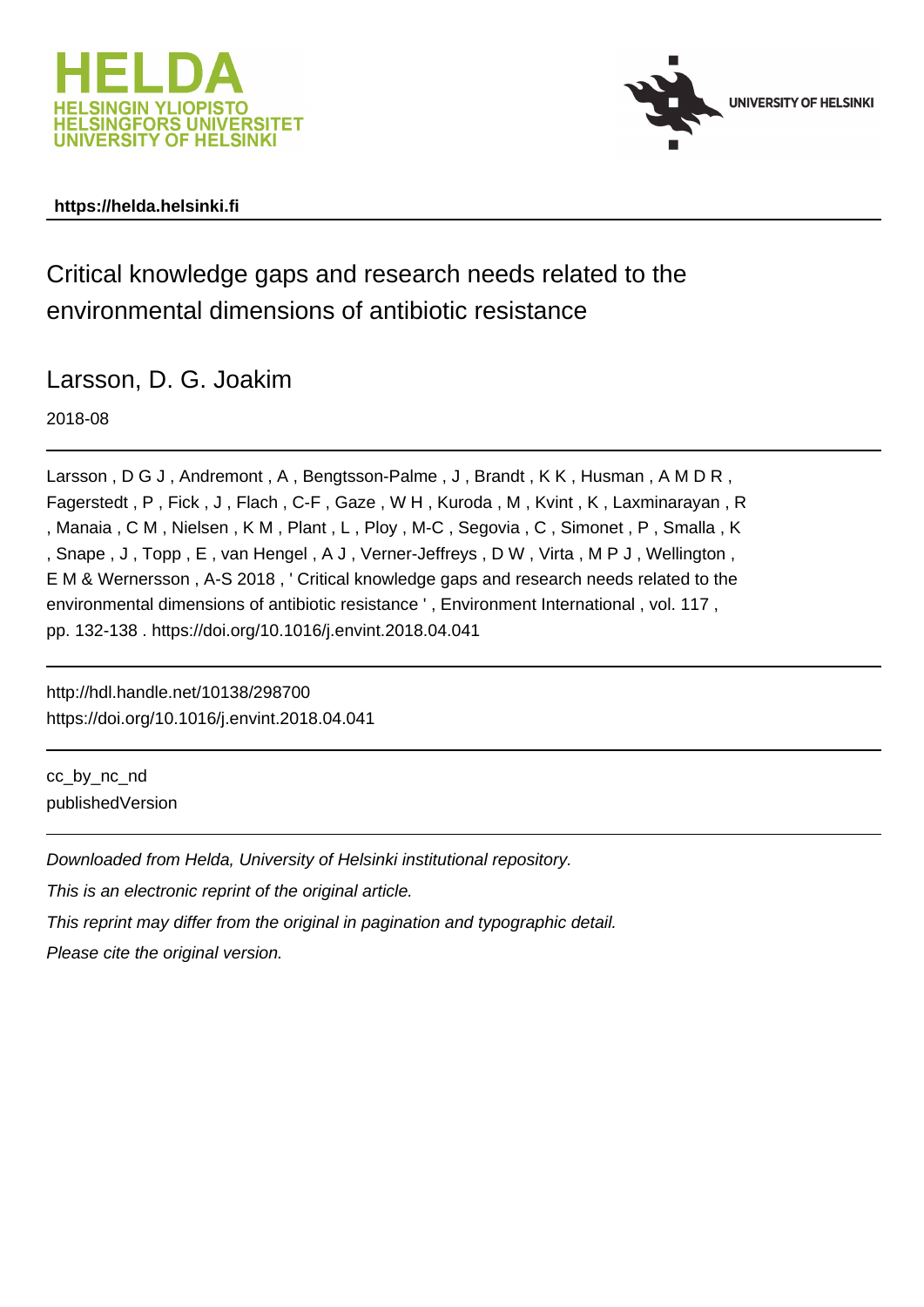



## **https://helda.helsinki.fi**

Critical knowledge gaps and research needs related to the environmental dimensions of antibiotic resistance

Larsson, D. G. Joakim

2018-08

Larsson, D G J, Andremont, A, Bengtsson-Palme, J, Brandt, K K, Husman, A M D R, Fagerstedt , P , Fick , J , Flach , C-F , Gaze , W H , Kuroda , M , Kvint , K , Laxminarayan , R , Manaia , C M , Nielsen , K M , Plant , L , Ploy , M-C , Segovia , C , Simonet , P , Smalla , K , Snape , J , Topp , E , van Hengel , A J , Verner-Jeffreys , D W , Virta , M P J , Wellington , E M & Wernersson , A-S 2018 , ' Critical knowledge gaps and research needs related to the environmental dimensions of antibiotic resistance ' , Environment International , vol. 117 , pp. 132-138 . https://doi.org/10.1016/j.envint.2018.04.041

http://hdl.handle.net/10138/298700 https://doi.org/10.1016/j.envint.2018.04.041

cc\_by\_nc\_nd publishedVersion

Downloaded from Helda, University of Helsinki institutional repository.

This is an electronic reprint of the original article.

This reprint may differ from the original in pagination and typographic detail.

Please cite the original version.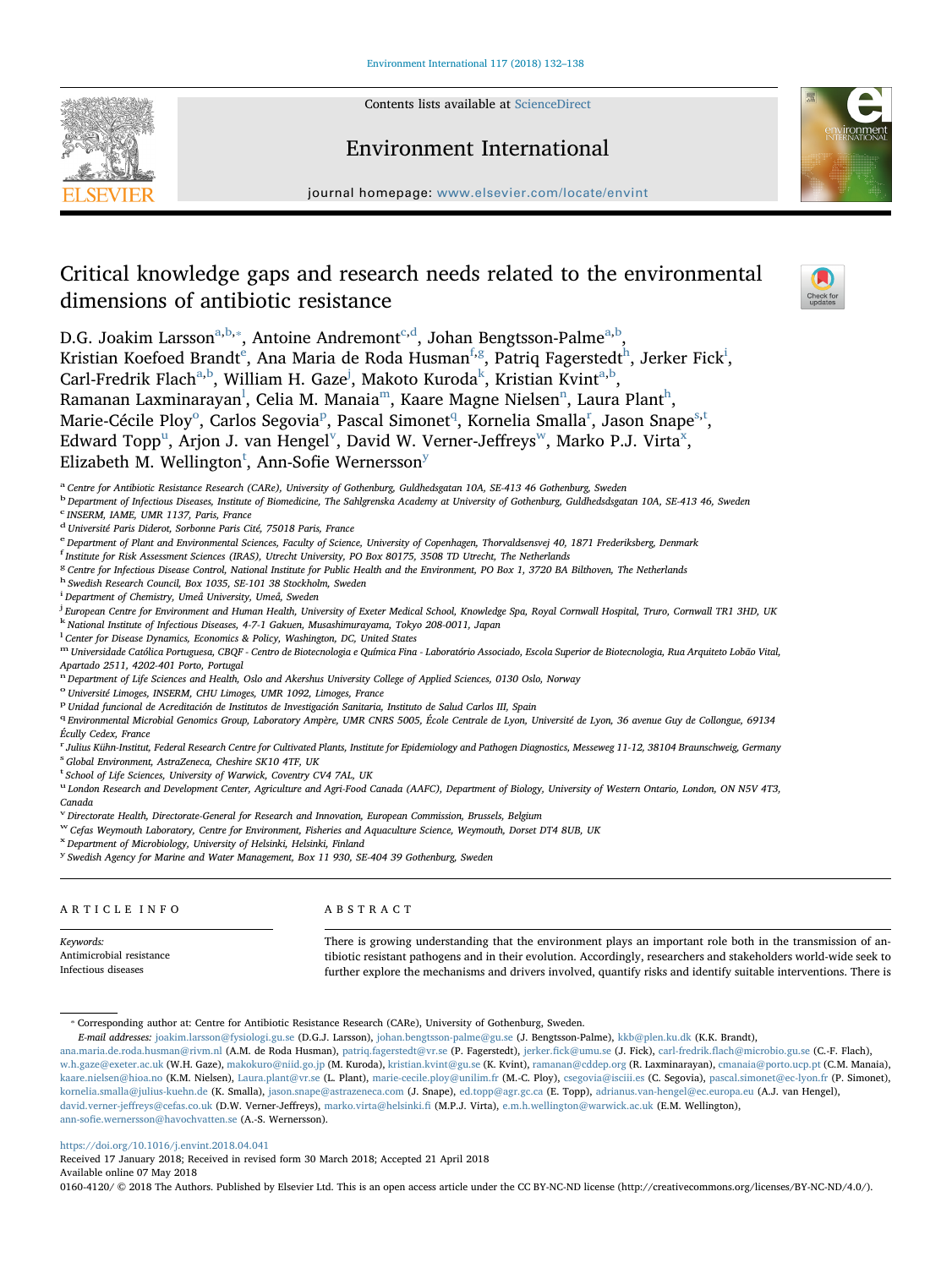

Contents lists available at [ScienceDirect](http://www.sciencedirect.com/science/journal/01604120)

## Environment International



[T](http://crossmark.crossref.org/dialog/?doi=10.1016/j.envint.2018.04.041&domain=pdf)

journal homepage: [www.elsevier.com/locate/envint](https://www.elsevier.com/locate/envint)

# Critical knowledge gaps and research needs related to the environmental dimensions of antibiotic resistance

D.G. Joakim Larsson $a,b,*,$  Antoine Andremont $c,d$ , Johan Bengtsson-Palme $^{a,b},$ 

Kristian Koefoed Brandt $^{\rm e}$ , Ana Maria de Roda Husman $^{\rm f,g}$ , Patriq Fagerstedt $^{\rm h}$ , Jerker Fick $^{\rm i}$ , Carl-Fredrik Flach<sup>a,b</sup>, William H. Gaze<sup>j</sup>, Makoto Kuroda<sup>k</sup>, Kristian Kvint<sup>a,b</sup>, Ramanan Laxminarayan $^{\rm l}$ , Celia M. Manaia $^{\rm m}$ , Kaare Magne Nielsen $^{\rm n}$ , Laura Plant $^{\rm h}$ , Marie-Cécile Ploy<sup>o</sup>, Carlos Segovia<sup>p</sup>, Pascal Simonet<sup>q</sup>, Kornelia Smalla<sup>r</sup>, Jason Snape<sup>s,t</sup>, Edward Topp<sup>u</sup>, Arjon J. van Hengel<sup>v</sup>, David W. Verner-Jeffreys<sup>w</sup>, Marko P.J. Virta<sup>x</sup>, Elizabeth M. Wellington<sup>t</sup>, Ann-Sofie Wernersson<sup>y</sup>

a Centre for Antibiotic Resistance Research (CARe), University of Gothenburg, Guldhedsgatan 10A, SE-413 46 Gothenburg, Sweden

<sup>b</sup> Department of Infectious Diseases, Institute of Biomedicine, The Sahlgrenska Academy at University of Gothenburg, Guldhedsdsgatan 10A, SE-413 46, Sweden c INSERM, IAME, UMR 1137, Paris, France

<sup>d</sup> Université Paris Diderot, Sorbonne Paris Cité, 75018 Paris, France

e Department of Plant and Environmental Sciences, Faculty of Science, University of Copenhagen, Thorvaldsensvej 40, 1871 Frederiksberg, Denmark

f Institute for Risk Assessment Sciences (IRAS), Utrecht University, PO Box 80175, 3508 TD Utrecht, The Netherlands

- <sup>g</sup> Centre for Infectious Disease Control, National Institute for Public Health and the Environment, PO Box 1, 3720 BA Bilthoven, The Netherlands
- <sup>h</sup> Swedish Research Council, Box 1035, SE-101 38 Stockholm, Sweden

<sup>i</sup> Department of Chemistry, Umeå University, Umeå, Sweden

j European Centre for Environment and Human Health, University of Exeter Medical School, Knowledge Spa, Royal Cornwall Hospital, Truro, Cornwall TR1 3HD, UK

 $^{\rm k}$  National Institute of Infectious Diseases, 4-7-1 Gakuen, Musashimurayama, Tokyo 208-0011, Japan

<sup>1</sup> Center for Disease Dynamics, Economics & Policy, Washington, DC, United States

<sup>m</sup> Universidade Católica Portuguesa, CBQF - Centro de Biotecnologia e Química Fina - Laboratório Associado, Escola Superior de Biotecnologia, Rua Arquiteto Lobão Vital, Apartado 2511, 4202-401 Porto, Portugal

n Department of Life Sciences and Health, Oslo and Akershus University College of Applied Sciences, 0130 Oslo, Norway

<sup>o</sup> Université Limoges, INSERM, CHU Limoges, UMR 1092, Limoges, France

<sup>p</sup> Unidad funcional de Acreditación de Institutos de Investigación Sanitaria, Instituto de Salud Carlos III, Spain

<sup>q</sup> Environmental Microbial Genomics Group, Laboratory Ampère, UMR CNRS 5005, École Centrale de Lyon, Université de Lyon, 36 avenue Guy de Collongue, 69134 Écully Cedex, France

r Julius Kühn-Institut, Federal Research Centre for Cultivated Plants, Institute for Epidemiology and Pathogen Diagnostics, Messeweg 11-12, 38104 Braunschweig, Germany

s Global Environment, AstraZeneca, Cheshire SK10 4TF, UK

<sup>t</sup> School of Life Sciences, University of Warwick, Coventry CV4 7AL, UK

<sup>u</sup> London Research and Development Center, Agriculture and Agri-Food Canada (AAFC), Department of Biology, University of Western Ontario, London, ON N5V 4T3,

Canada <sup>v</sup> Directorate Health, Directorate-General for Research and Innovation, European Commission, Brussels, Belgium

<sup>w</sup> Cefas Weymouth Laboratory, Centre for Environment, Fisheries and Aquaculture Science, Weymouth, Dorset DT4 8UB, UK<br><sup>x</sup> Department of Microbiology, University of Helsinki, Helsinki, Finland

<sup>y</sup> Swedish Agency for Marine and Water Management, Box 11 930, SE-404 39 Gothenburg, Sweden

| ARTICLE INFO             | ABSTRACT                                                                                                          |
|--------------------------|-------------------------------------------------------------------------------------------------------------------|
| Keywords:                | There is growing understanding that the environment plays an important role both in the transmission of an-       |
| Antimicrobial resistance | tibiotic resistant pathogens and in their evolution. Accordingly, researchers and stakeholders world-wide seek to |
| Infectious diseases      | further explore the mechanisms and drivers involved, quantify risks and identify suitable interventions. There is |

⁎ Corresponding author at: Centre for Antibiotic Resistance Research (CARe), University of Gothenburg, Sweden.

E-mail addresses: [joakim.larsson@fysiologi.gu.se](mailto:joakim.larsson@fysiologi.gu.se) (D.G.J. Larsson), [johan.bengtsson-palme@gu.se](mailto:johan.bengtsson-palme@gu.se) (J. Bengtsson-Palme), [kkb@plen.ku.dk](mailto:kkb@plen.ku.dk) (K.K. Brandt),

[ana.maria.de.roda.husman@rivm.nl](mailto:ana.maria.de.roda.husman@rivm.nl) (A.M. de Roda Husman), [patriq.fagerstedt@vr.se](mailto:patriq.fagerstedt@vr.se) (P. Fagerstedt), jerker.fi[ck@umu.se](mailto:jerker.fick@umu.se) (J. Fick), carl-fredrik.fl[ach@microbio.gu.se](mailto:carl-fredrik.flach@microbio.gu.se) (C.-F. Flach), [w.h.gaze@exeter.ac.uk](mailto:w.h.gaze@exeter.ac.uk) (W.H. Gaze), [makokuro@niid.go.jp](mailto:makokuro@niid.go.jp) (M. Kuroda), [kristian.kvint@gu.se](mailto:kristian.kvint@gu.se) (K. Kvint), [ramanan@cddep.org](mailto:ramanan@cddep.org) (R. Laxminarayan), [cmanaia@porto.ucp.pt](mailto:cmanaia@porto.ucp.pt) (C.M. Manaia), [kaare.nielsen@hioa.no](mailto:kaare.nielsen@hioa.no) (K.M. Nielsen), [Laura.plant@vr.se](mailto:Laura.plant@vr.se) (L. Plant), [marie-cecile.ploy@unilim.fr](mailto:marie-cecile.ploy@unilim.fr) (M.-C. Ploy), [csegovia@isciii.es](mailto:csegovia@isciii.es) (C. Segovia), [pascal.simonet@ec-lyon.fr](mailto:pascal.simonet@ec-lyon.fr) (P. Simonet), [kornelia.smalla@julius-kuehn.de](mailto:kornelia.smalla@julius-kuehn.de) (K. Smalla), [jason.snape@astrazeneca.com](mailto:jason.snape@astrazeneca.com) (J. Snape), [ed.topp@agr.gc.ca](mailto:ed.topp@agr.gc.ca) (E. Topp), [adrianus.van-hengel@ec.europa.eu](mailto:adrianus.van-hengel@ec.europa.eu) (A.J. van Hengel), david.verner-jeff[reys@cefas.co.uk](mailto:david.verner-jeffreys@cefas.co.uk) (D.W. Verner-Jeffreys), [marko.virta@helsinki.](mailto:marko.virta@helsinki.fi)fi (M.P.J. Virta), [e.m.h.wellington@warwick.ac.uk](mailto:e.m.h.wellington@warwick.ac.uk) (E.M. Wellington), ann-sofi[e.wernersson@havochvatten.se](mailto:ann-sofie.wernersson@havochvatten.se) (A.-S. Wernersson).

#### <https://doi.org/10.1016/j.envint.2018.04.041>

Received 17 January 2018; Received in revised form 30 March 2018; Accepted 21 April 2018 Available online 07 May 2018

0160-4120/ © 2018 The Authors. Published by Elsevier Ltd. This is an open access article under the CC BY-NC-ND license (http://creativecommons.org/licenses/BY-NC-ND/4.0/).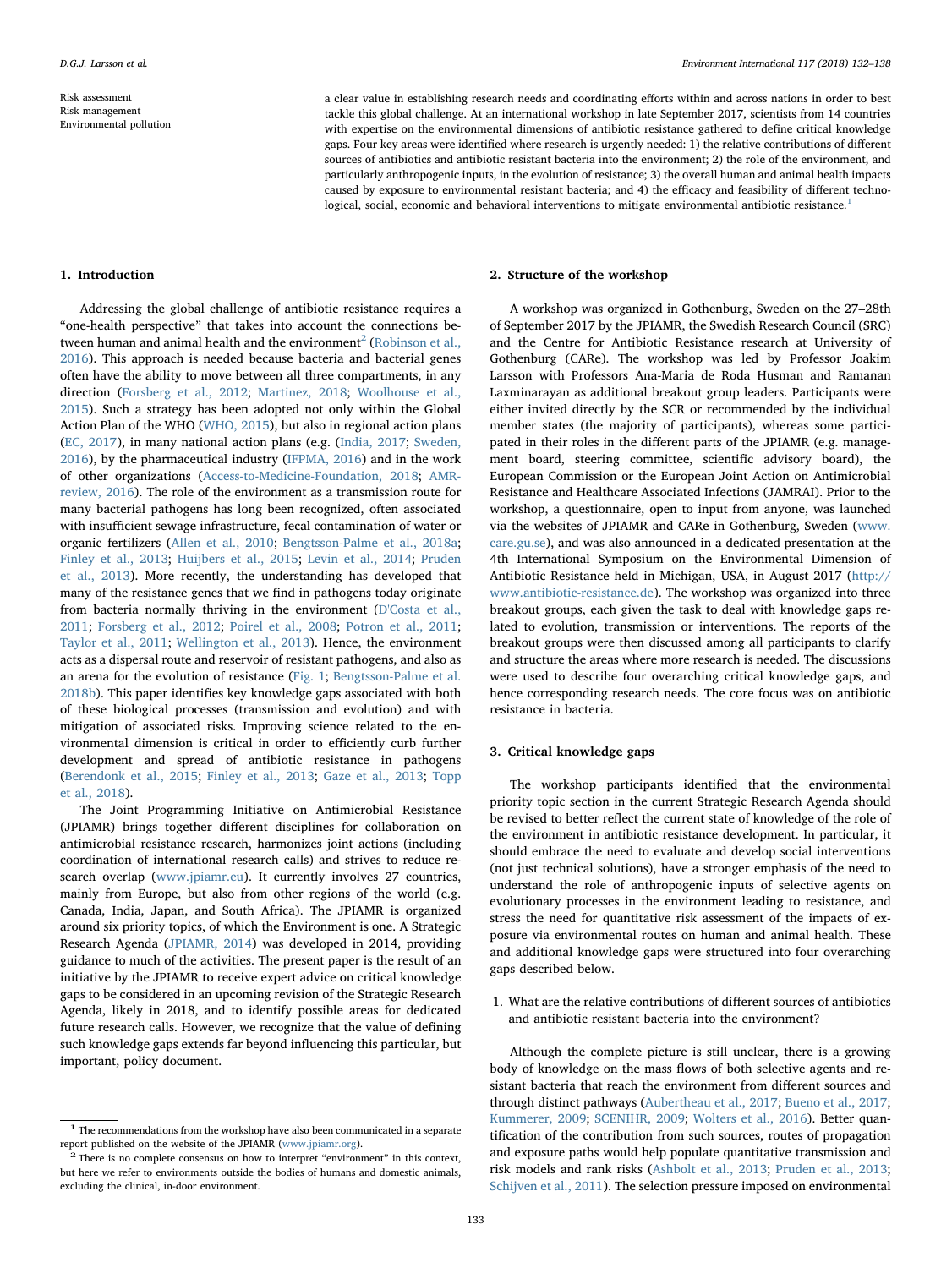Risk assessment Risk management Environmental pollution a clear value in establishing research needs and coordinating efforts within and across nations in order to best tackle this global challenge. At an international workshop in late September 2017, scientists from 14 countries with expertise on the environmental dimensions of antibiotic resistance gathered to define critical knowledge gaps. Four key areas were identified where research is urgently needed: 1) the relative contributions of different sources of antibiotics and antibiotic resistant bacteria into the environment; 2) the role of the environment, and particularly anthropogenic inputs, in the evolution of resistance; 3) the overall human and animal health impacts caused by exposure to environmental resistant bacteria; and 4) the efficacy and feasibility of different technological, social, economic and behavioral interventions to mitigate environmental antibiotic resistance.<sup>1</sup>

#### 1. Introduction

Addressing the global challenge of antibiotic resistance requires a "one-health perspective" that takes into account the connections between human and animal health and the environment<sup>2</sup> (Robinson et al., 2016). This approach is needed because bacteria and bacterial genes often have the ability to move between all three compartments, in any direction (Forsberg et al., 2012; Martinez, 2018; Woolhouse et al., 2015). Such a strategy has been adopted not only within the Global Action Plan of the WHO (WHO, 2015), but also in regional action plans (EC, 2017), in many national action plans (e.g. (India, 2017; Sweden, 2016), by the pharmaceutical industry (IFPMA, 2016) and in the work of other organizations (Access-to-Medicine-Foundation, 2018; AMRreview, 2016). The role of the environment as a transmission route for many bacterial pathogens has long been recognized, often associated with insufficient sewage infrastructure, fecal contamination of water or organic fertilizers (Allen et al., 2010; Bengtsson-Palme et al., 2018a; Finley et al., 2013; Huijbers et al., 2015; Levin et al., 2014; Pruden et al., 2013). More recently, the understanding has developed that many of the resistance genes that we find in pathogens today originate from bacteria normally thriving in the environment (D'Costa et al., 2011; Forsberg et al., 2012; Poirel et al., 2008; Potron et al., 2011; Taylor et al., 2011; Wellington et al., 2013). Hence, the environment acts as a dispersal route and reservoir of resistant pathogens, and also as an arena for the evolution of resistance (Fig. 1; Bengtsson-Palme et al. 2018b). This paper identifies key knowledge gaps associated with both of these biological processes (transmission and evolution) and with mitigation of associated risks. Improving science related to the environmental dimension is critical in order to efficiently curb further development and spread of antibiotic resistance in pathogens (Berendonk et al., 2015; Finley et al., 2013; Gaze et al., 2013; Topp et al., 2018).

The Joint Programming Initiative on Antimicrobial Resistance (JPIAMR) brings together different disciplines for collaboration on antimicrobial resistance research, harmonizes joint actions (including coordination of international research calls) and strives to reduce research overlap ([www.jpiamr.eu\)](http://www.jpiamr.eu). It currently involves 27 countries, mainly from Europe, but also from other regions of the world (e.g. Canada, India, Japan, and South Africa). The JPIAMR is organized around six priority topics, of which the Environment is one. A Strategic Research Agenda (JPIAMR, 2014) was developed in 2014, providing guidance to much of the activities. The present paper is the result of an initiative by the JPIAMR to receive expert advice on critical knowledge gaps to be considered in an upcoming revision of the Strategic Research Agenda, likely in 2018, and to identify possible areas for dedicated future research calls. However, we recognize that the value of defining such knowledge gaps extends far beyond influencing this particular, but important, policy document.

### 2. Structure of the workshop

A workshop was organized in Gothenburg, Sweden on the 27–28th of September 2017 by the JPIAMR, the Swedish Research Council (SRC) and the Centre for Antibiotic Resistance research at University of Gothenburg (CARe). The workshop was led by Professor Joakim Larsson with Professors Ana-Maria de Roda Husman and Ramanan Laxminarayan as additional breakout group leaders. Participants were either invited directly by the SCR or recommended by the individual member states (the majority of participants), whereas some participated in their roles in the different parts of the JPIAMR (e.g. management board, steering committee, scientific advisory board), the European Commission or the European Joint Action on Antimicrobial Resistance and Healthcare Associated Infections (JAMRAI). Prior to the workshop, a questionnaire, open to input from anyone, was launched via the websites of JPIAMR and CARe in Gothenburg, Sweden ([www.](http://www.care.gu.se) [care.gu.se\)](http://www.care.gu.se), and was also announced in a dedicated presentation at the 4th International Symposium on the Environmental Dimension of Antibiotic Resistance held in Michigan, USA, in August 2017 [\(http://](http://www.antibiotic-resistance.de) [www.antibiotic-resistance.de](http://www.antibiotic-resistance.de)). The workshop was organized into three breakout groups, each given the task to deal with knowledge gaps related to evolution, transmission or interventions. The reports of the breakout groups were then discussed among all participants to clarify and structure the areas where more research is needed. The discussions were used to describe four overarching critical knowledge gaps, and hence corresponding research needs. The core focus was on antibiotic resistance in bacteria.

#### 3. Critical knowledge gaps

The workshop participants identified that the environmental priority topic section in the current Strategic Research Agenda should be revised to better reflect the current state of knowledge of the role of the environment in antibiotic resistance development. In particular, it should embrace the need to evaluate and develop social interventions (not just technical solutions), have a stronger emphasis of the need to understand the role of anthropogenic inputs of selective agents on evolutionary processes in the environment leading to resistance, and stress the need for quantitative risk assessment of the impacts of exposure via environmental routes on human and animal health. These and additional knowledge gaps were structured into four overarching gaps described below.

1. What are the relative contributions of different sources of antibiotics and antibiotic resistant bacteria into the environment?

Although the complete picture is still unclear, there is a growing body of knowledge on the mass flows of both selective agents and resistant bacteria that reach the environment from different sources and through distinct pathways (Aubertheau et al., 2017; Bueno et al., 2017; Kummerer, 2009; SCENIHR, 2009; Wolters et al., 2016). Better quantification of the contribution from such sources, routes of propagation and exposure paths would help populate quantitative transmission and risk models and rank risks (Ashbolt et al., 2013; Pruden et al., 2013; Schijven et al., 2011). The selection pressure imposed on environmental

 $^{\rm 1}$  The recommendations from the workshop have also been communicated in a separate report published on the website of the JPIAMR (www.jpiamr.org).

 $2$  There is no complete consensus on how to interpret "environment" in this context, but here we refer to environments outside the bodies of humans and domestic animals, excluding the clinical, in-door environment.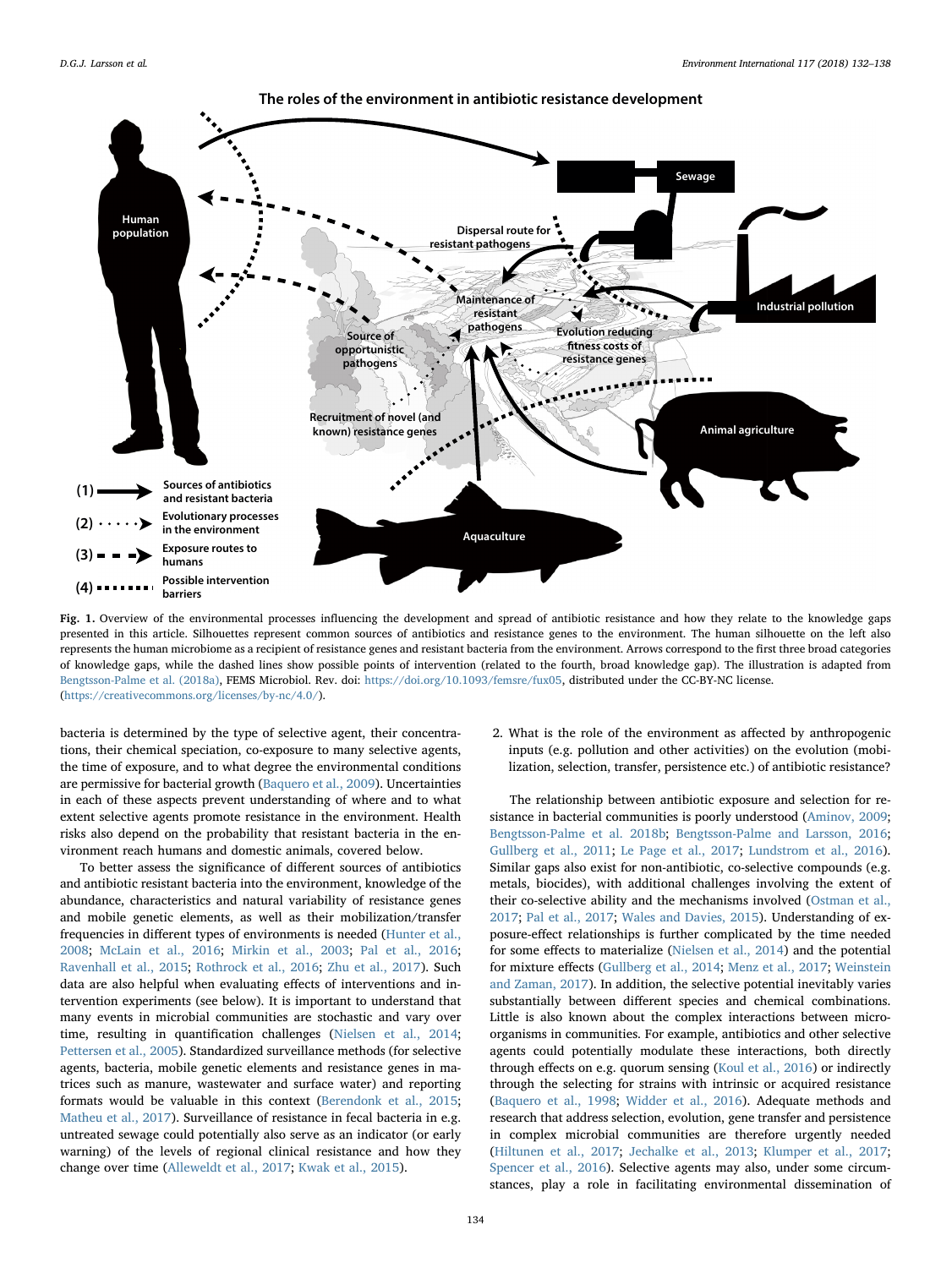

Fig. 1. Overview of the environmental processes influencing the development and spread of antibiotic resistance and how they relate to the knowledge gaps presented in this article. Silhouettes represent common sources of antibiotics and resistance genes to the environment. The human silhouette on the left also represents the human microbiome as a recipient of resistance genes and resistant bacteria from the environment. Arrows correspond to the first three broad categories of knowledge gaps, while the dashed lines show possible points of intervention (related to the fourth, broad knowledge gap). The illustration is adapted from Bengtsson-Palme et al. (2018a), FEMS Microbiol. Rev. doi: [https://doi.org/10.1093/femsre/fux05,](https://doi.org/10.1093/femsre/fux05) distributed under the CC-BY-NC license. [\(https://creativecommons.org/licenses/by-nc/4.0/](https://creativecommons.org/licenses/by-nc/4.0/)).

bacteria is determined by the type of selective agent, their concentrations, their chemical speciation, co-exposure to many selective agents, the time of exposure, and to what degree the environmental conditions are permissive for bacterial growth (Baquero et al., 2009). Uncertainties in each of these aspects prevent understanding of where and to what extent selective agents promote resistance in the environment. Health risks also depend on the probability that resistant bacteria in the environment reach humans and domestic animals, covered below.

To better assess the significance of different sources of antibiotics and antibiotic resistant bacteria into the environment, knowledge of the abundance, characteristics and natural variability of resistance genes and mobile genetic elements, as well as their mobilization/transfer frequencies in different types of environments is needed (Hunter et al., 2008; McLain et al., 2016; Mirkin et al., 2003; Pal et al., 2016; Ravenhall et al., 2015; Rothrock et al., 2016; Zhu et al., 2017). Such data are also helpful when evaluating effects of interventions and intervention experiments (see below). It is important to understand that many events in microbial communities are stochastic and vary over time, resulting in quantification challenges (Nielsen et al., 2014; Pettersen et al., 2005). Standardized surveillance methods (for selective agents, bacteria, mobile genetic elements and resistance genes in matrices such as manure, wastewater and surface water) and reporting formats would be valuable in this context (Berendonk et al., 2015; Matheu et al., 2017). Surveillance of resistance in fecal bacteria in e.g. untreated sewage could potentially also serve as an indicator (or early warning) of the levels of regional clinical resistance and how they change over time (Alleweldt et al., 2017; Kwak et al., 2015).

2. What is the role of the environment as affected by anthropogenic inputs (e.g. pollution and other activities) on the evolution (mobilization, selection, transfer, persistence etc.) of antibiotic resistance?

The relationship between antibiotic exposure and selection for resistance in bacterial communities is poorly understood (Aminov, 2009; Bengtsson-Palme et al. 2018b; Bengtsson-Palme and Larsson, 2016; Gullberg et al., 2011; Le Page et al., 2017; Lundstrom et al., 2016). Similar gaps also exist for non-antibiotic, co-selective compounds (e.g. metals, biocides), with additional challenges involving the extent of their co-selective ability and the mechanisms involved (Ostman et al., 2017; Pal et al., 2017; Wales and Davies, 2015). Understanding of exposure-effect relationships is further complicated by the time needed for some effects to materialize (Nielsen et al., 2014) and the potential for mixture effects (Gullberg et al., 2014; Menz et al., 2017; Weinstein and Zaman, 2017). In addition, the selective potential inevitably varies substantially between different species and chemical combinations. Little is also known about the complex interactions between microorganisms in communities. For example, antibiotics and other selective agents could potentially modulate these interactions, both directly through effects on e.g. quorum sensing (Koul et al., 2016) or indirectly through the selecting for strains with intrinsic or acquired resistance (Baquero et al., 1998; Widder et al., 2016). Adequate methods and research that address selection, evolution, gene transfer and persistence in complex microbial communities are therefore urgently needed (Hiltunen et al., 2017; Jechalke et al., 2013; Klumper et al., 2017; Spencer et al., 2016). Selective agents may also, under some circumstances, play a role in facilitating environmental dissemination of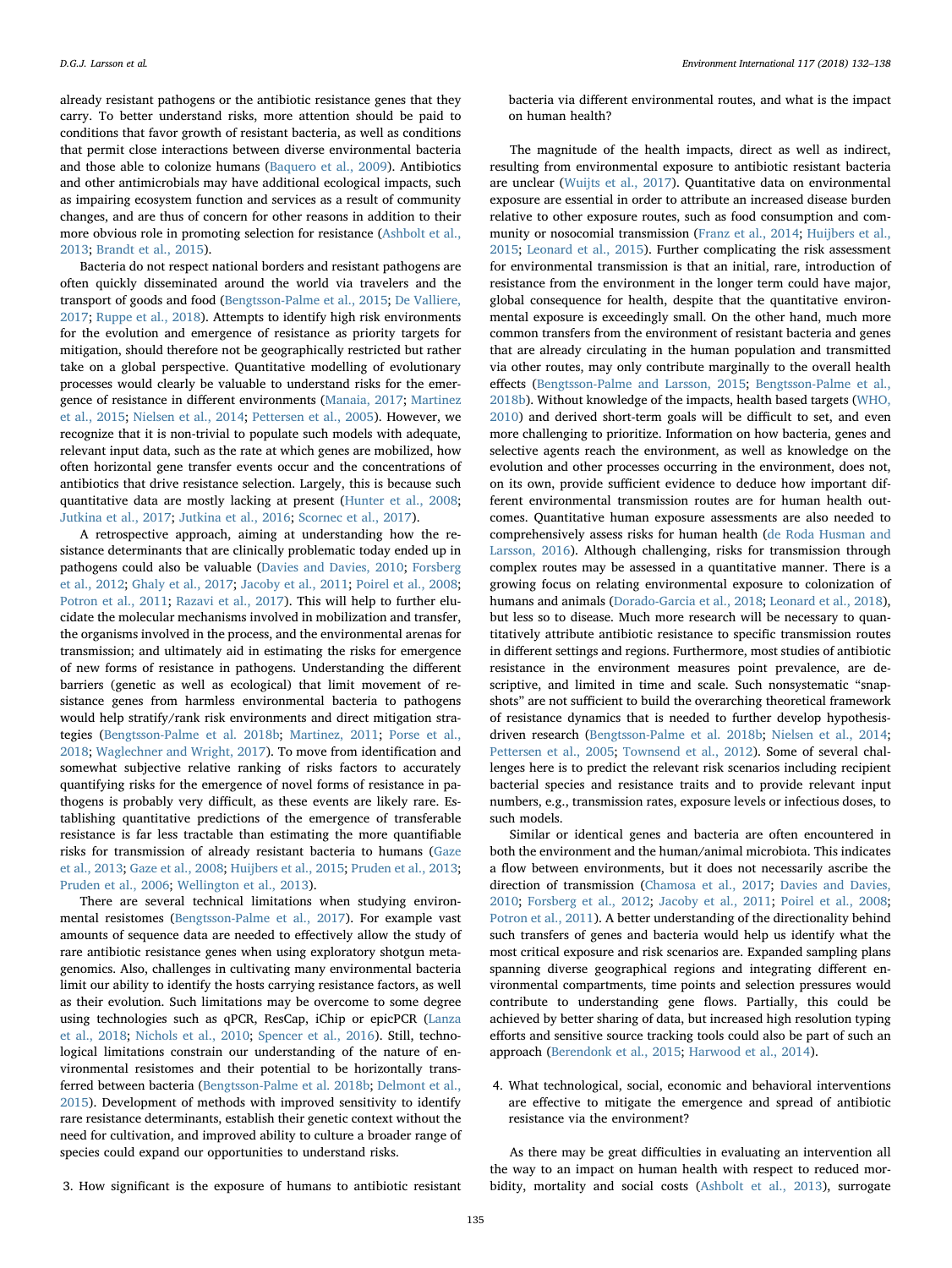already resistant pathogens or the antibiotic resistance genes that they carry. To better understand risks, more attention should be paid to conditions that favor growth of resistant bacteria, as well as conditions that permit close interactions between diverse environmental bacteria and those able to colonize humans (Baquero et al., 2009). Antibiotics and other antimicrobials may have additional ecological impacts, such as impairing ecosystem function and services as a result of community changes, and are thus of concern for other reasons in addition to their more obvious role in promoting selection for resistance (Ashbolt et al., 2013; Brandt et al., 2015).

Bacteria do not respect national borders and resistant pathogens are often quickly disseminated around the world via travelers and the transport of goods and food (Bengtsson-Palme et al., 2015; De Valliere, 2017; Ruppe et al., 2018). Attempts to identify high risk environments for the evolution and emergence of resistance as priority targets for mitigation, should therefore not be geographically restricted but rather take on a global perspective. Quantitative modelling of evolutionary processes would clearly be valuable to understand risks for the emergence of resistance in different environments (Manaia, 2017; Martinez et al., 2015; Nielsen et al., 2014; Pettersen et al., 2005). However, we recognize that it is non-trivial to populate such models with adequate, relevant input data, such as the rate at which genes are mobilized, how often horizontal gene transfer events occur and the concentrations of antibiotics that drive resistance selection. Largely, this is because such quantitative data are mostly lacking at present (Hunter et al., 2008; Jutkina et al., 2017; Jutkina et al., 2016; Scornec et al., 2017).

A retrospective approach, aiming at understanding how the resistance determinants that are clinically problematic today ended up in pathogens could also be valuable (Davies and Davies, 2010; Forsberg et al., 2012; Ghaly et al., 2017; Jacoby et al., 2011; Poirel et al., 2008; Potron et al., 2011; Razavi et al., 2017). This will help to further elucidate the molecular mechanisms involved in mobilization and transfer, the organisms involved in the process, and the environmental arenas for transmission; and ultimately aid in estimating the risks for emergence of new forms of resistance in pathogens. Understanding the different barriers (genetic as well as ecological) that limit movement of resistance genes from harmless environmental bacteria to pathogens would help stratify/rank risk environments and direct mitigation strategies (Bengtsson-Palme et al. 2018b; Martinez, 2011; Porse et al., 2018; Waglechner and Wright, 2017). To move from identification and somewhat subjective relative ranking of risks factors to accurately quantifying risks for the emergence of novel forms of resistance in pathogens is probably very difficult, as these events are likely rare. Establishing quantitative predictions of the emergence of transferable resistance is far less tractable than estimating the more quantifiable risks for transmission of already resistant bacteria to humans (Gaze et al., 2013; Gaze et al., 2008; Huijbers et al., 2015; Pruden et al., 2013; Pruden et al., 2006; Wellington et al., 2013).

There are several technical limitations when studying environmental resistomes (Bengtsson-Palme et al., 2017). For example vast amounts of sequence data are needed to effectively allow the study of rare antibiotic resistance genes when using exploratory shotgun metagenomics. Also, challenges in cultivating many environmental bacteria limit our ability to identify the hosts carrying resistance factors, as well as their evolution. Such limitations may be overcome to some degree using technologies such as qPCR, ResCap, iChip or epicPCR (Lanza et al., 2018; Nichols et al., 2010; Spencer et al., 2016). Still, technological limitations constrain our understanding of the nature of environmental resistomes and their potential to be horizontally transferred between bacteria (Bengtsson-Palme et al. 2018b; Delmont et al., 2015). Development of methods with improved sensitivity to identify rare resistance determinants, establish their genetic context without the need for cultivation, and improved ability to culture a broader range of species could expand our opportunities to understand risks.

bacteria via different environmental routes, and what is the impact on human health?

The magnitude of the health impacts, direct as well as indirect, resulting from environmental exposure to antibiotic resistant bacteria are unclear (Wuijts et al., 2017). Quantitative data on environmental exposure are essential in order to attribute an increased disease burden relative to other exposure routes, such as food consumption and community or nosocomial transmission (Franz et al., 2014; Huijbers et al., 2015; Leonard et al., 2015). Further complicating the risk assessment for environmental transmission is that an initial, rare, introduction of resistance from the environment in the longer term could have major, global consequence for health, despite that the quantitative environmental exposure is exceedingly small. On the other hand, much more common transfers from the environment of resistant bacteria and genes that are already circulating in the human population and transmitted via other routes, may only contribute marginally to the overall health effects (Bengtsson-Palme and Larsson, 2015; Bengtsson-Palme et al., 2018b). Without knowledge of the impacts, health based targets (WHO, 2010) and derived short-term goals will be difficult to set, and even more challenging to prioritize. Information on how bacteria, genes and selective agents reach the environment, as well as knowledge on the evolution and other processes occurring in the environment, does not, on its own, provide sufficient evidence to deduce how important different environmental transmission routes are for human health outcomes. Quantitative human exposure assessments are also needed to comprehensively assess risks for human health (de Roda Husman and Larsson, 2016). Although challenging, risks for transmission through complex routes may be assessed in a quantitative manner. There is a growing focus on relating environmental exposure to colonization of humans and animals (Dorado-Garcia et al., 2018; Leonard et al., 2018), but less so to disease. Much more research will be necessary to quantitatively attribute antibiotic resistance to specific transmission routes in different settings and regions. Furthermore, most studies of antibiotic resistance in the environment measures point prevalence, are descriptive, and limited in time and scale. Such nonsystematic "snapshots" are not sufficient to build the overarching theoretical framework of resistance dynamics that is needed to further develop hypothesisdriven research (Bengtsson-Palme et al. 2018b; Nielsen et al., 2014; Pettersen et al., 2005; Townsend et al., 2012). Some of several challenges here is to predict the relevant risk scenarios including recipient bacterial species and resistance traits and to provide relevant input numbers, e.g., transmission rates, exposure levels or infectious doses, to such models.

Similar or identical genes and bacteria are often encountered in both the environment and the human/animal microbiota. This indicates a flow between environments, but it does not necessarily ascribe the direction of transmission (Chamosa et al., 2017; Davies and Davies, 2010; Forsberg et al., 2012; Jacoby et al., 2011; Poirel et al., 2008; Potron et al., 2011). A better understanding of the directionality behind such transfers of genes and bacteria would help us identify what the most critical exposure and risk scenarios are. Expanded sampling plans spanning diverse geographical regions and integrating different environmental compartments, time points and selection pressures would contribute to understanding gene flows. Partially, this could be achieved by better sharing of data, but increased high resolution typing efforts and sensitive source tracking tools could also be part of such an approach (Berendonk et al., 2015; Harwood et al., 2014).

4. What technological, social, economic and behavioral interventions are effective to mitigate the emergence and spread of antibiotic resistance via the environment?

As there may be great difficulties in evaluating an intervention all the way to an impact on human health with respect to reduced morbidity, mortality and social costs (Ashbolt et al., 2013), surrogate

3. How significant is the exposure of humans to antibiotic resistant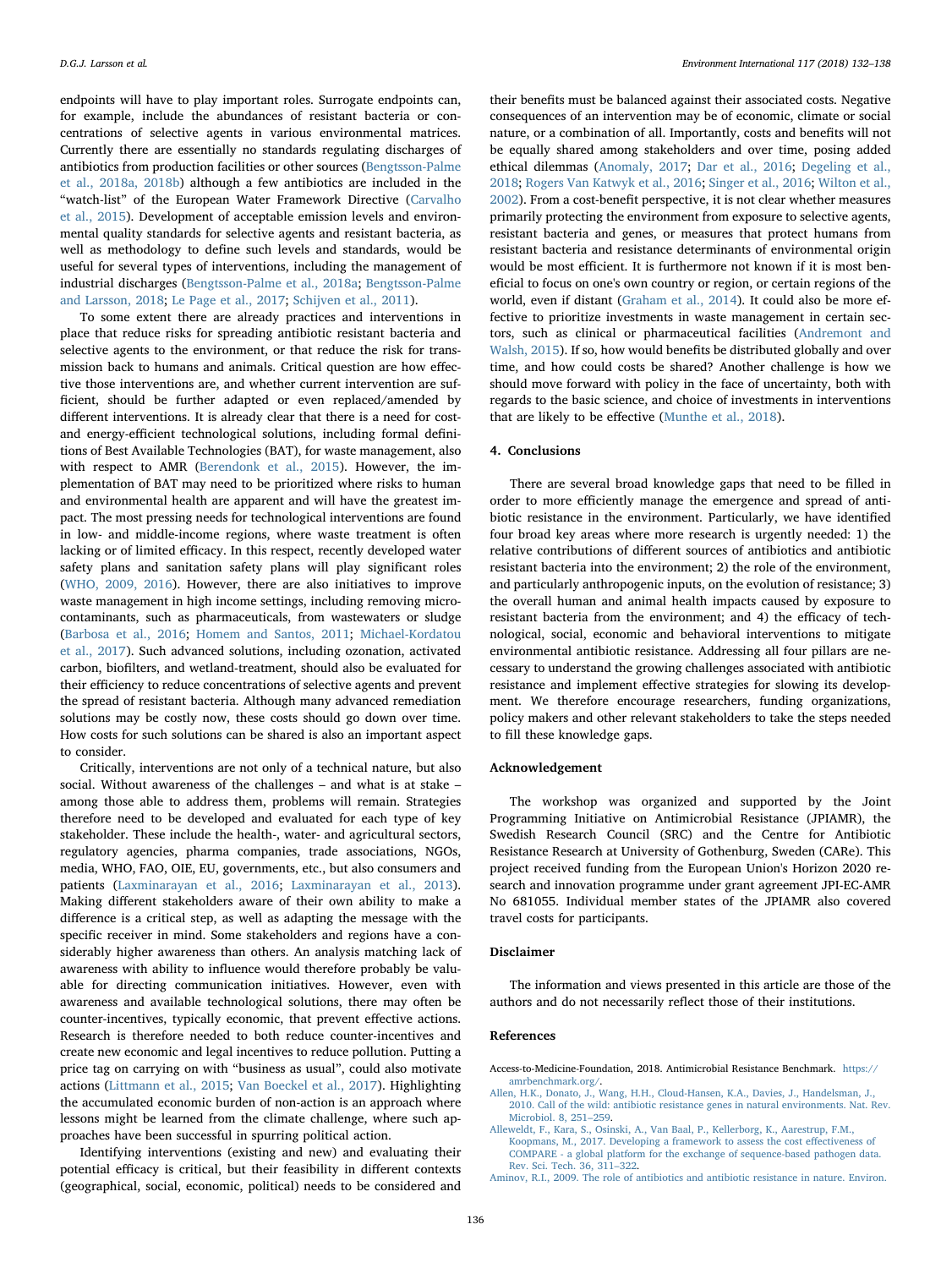endpoints will have to play important roles. Surrogate endpoints can, for example, include the abundances of resistant bacteria or concentrations of selective agents in various environmental matrices. Currently there are essentially no standards regulating discharges of antibiotics from production facilities or other sources (Bengtsson-Palme et al., 2018a, 2018b) although a few antibiotics are included in the "watch-list" of the European Water Framework Directive (Carvalho et al., 2015). Development of acceptable emission levels and environmental quality standards for selective agents and resistant bacteria, as well as methodology to define such levels and standards, would be useful for several types of interventions, including the management of industrial discharges (Bengtsson-Palme et al., 2018a; Bengtsson-Palme and Larsson, 2018; Le Page et al., 2017; Schijven et al., 2011).

To some extent there are already practices and interventions in place that reduce risks for spreading antibiotic resistant bacteria and selective agents to the environment, or that reduce the risk for transmission back to humans and animals. Critical question are how effective those interventions are, and whether current intervention are sufficient, should be further adapted or even replaced/amended by different interventions. It is already clear that there is a need for costand energy-efficient technological solutions, including formal definitions of Best Available Technologies (BAT), for waste management, also with respect to AMR (Berendonk et al., 2015). However, the implementation of BAT may need to be prioritized where risks to human and environmental health are apparent and will have the greatest impact. The most pressing needs for technological interventions are found in low- and middle-income regions, where waste treatment is often lacking or of limited efficacy. In this respect, recently developed water safety plans and sanitation safety plans will play significant roles (WHO, 2009, 2016). However, there are also initiatives to improve waste management in high income settings, including removing microcontaminants, such as pharmaceuticals, from wastewaters or sludge (Barbosa et al., 2016; Homem and Santos, 2011; Michael-Kordatou et al., 2017). Such advanced solutions, including ozonation, activated carbon, biofilters, and wetland-treatment, should also be evaluated for their efficiency to reduce concentrations of selective agents and prevent the spread of resistant bacteria. Although many advanced remediation solutions may be costly now, these costs should go down over time. How costs for such solutions can be shared is also an important aspect to consider.

Critically, interventions are not only of a technical nature, but also social. Without awareness of the challenges – and what is at stake – among those able to address them, problems will remain. Strategies therefore need to be developed and evaluated for each type of key stakeholder. These include the health-, water- and agricultural sectors, regulatory agencies, pharma companies, trade associations, NGOs, media, WHO, FAO, OIE, EU, governments, etc., but also consumers and patients (Laxminarayan et al., 2016; Laxminarayan et al., 2013). Making different stakeholders aware of their own ability to make a difference is a critical step, as well as adapting the message with the specific receiver in mind. Some stakeholders and regions have a considerably higher awareness than others. An analysis matching lack of awareness with ability to influence would therefore probably be valuable for directing communication initiatives. However, even with awareness and available technological solutions, there may often be counter-incentives, typically economic, that prevent effective actions. Research is therefore needed to both reduce counter-incentives and create new economic and legal incentives to reduce pollution. Putting a price tag on carrying on with "business as usual", could also motivate actions (Littmann et al., 2015; Van Boeckel et al., 2017). Highlighting the accumulated economic burden of non-action is an approach where lessons might be learned from the climate challenge, where such approaches have been successful in spurring political action.

Identifying interventions (existing and new) and evaluating their potential efficacy is critical, but their feasibility in different contexts (geographical, social, economic, political) needs to be considered and

their benefits must be balanced against their associated costs. Negative consequences of an intervention may be of economic, climate or social nature, or a combination of all. Importantly, costs and benefits will not be equally shared among stakeholders and over time, posing added ethical dilemmas (Anomaly, 2017; Dar et al., 2016; Degeling et al., 2018; Rogers Van Katwyk et al., 2016; Singer et al., 2016; Wilton et al., 2002). From a cost-benefit perspective, it is not clear whether measures primarily protecting the environment from exposure to selective agents, resistant bacteria and genes, or measures that protect humans from resistant bacteria and resistance determinants of environmental origin would be most efficient. It is furthermore not known if it is most beneficial to focus on one's own country or region, or certain regions of the world, even if distant (Graham et al., 2014). It could also be more effective to prioritize investments in waste management in certain sectors, such as clinical or pharmaceutical facilities (Andremont and Walsh, 2015). If so, how would benefits be distributed globally and over time, and how could costs be shared? Another challenge is how we should move forward with policy in the face of uncertainty, both with regards to the basic science, and choice of investments in interventions that are likely to be effective (Munthe et al., 2018).

#### 4. Conclusions

There are several broad knowledge gaps that need to be filled in order to more efficiently manage the emergence and spread of antibiotic resistance in the environment. Particularly, we have identified four broad key areas where more research is urgently needed: 1) the relative contributions of different sources of antibiotics and antibiotic resistant bacteria into the environment; 2) the role of the environment, and particularly anthropogenic inputs, on the evolution of resistance; 3) the overall human and animal health impacts caused by exposure to resistant bacteria from the environment; and 4) the efficacy of technological, social, economic and behavioral interventions to mitigate environmental antibiotic resistance. Addressing all four pillars are necessary to understand the growing challenges associated with antibiotic resistance and implement effective strategies for slowing its development. We therefore encourage researchers, funding organizations, policy makers and other relevant stakeholders to take the steps needed to fill these knowledge gaps.

#### Acknowledgement

The workshop was organized and supported by the Joint Programming Initiative on Antimicrobial Resistance (JPIAMR), the Swedish Research Council (SRC) and the Centre for Antibiotic Resistance Research at University of Gothenburg, Sweden (CARe). This project received funding from the European Union's Horizon 2020 research and innovation programme under grant agreement JPI-EC-AMR No 681055. Individual member states of the JPIAMR also covered travel costs for participants.

#### Disclaimer

The information and views presented in this article are those of the authors and do not necessarily reflect those of their institutions.

#### References

- Access-to-Medicine-Foundation, 2018. Antimicrobial Resistance Benchmark. [https://](https://amrbenchmark.org/) [amrbenchmark.org/](https://amrbenchmark.org/).
- [Allen, H.K., Donato, J., Wang, H.H., Cloud-Hansen, K.A., Davies, J., Handelsman, J.,](http://refhub.elsevier.com/S0160-4120(18)30098-9/rf0010) [2010. Call of the wild: antibiotic resistance genes in natural environments. Nat. Rev.](http://refhub.elsevier.com/S0160-4120(18)30098-9/rf0010) [Microbiol. 8, 251](http://refhub.elsevier.com/S0160-4120(18)30098-9/rf0010)–259.

[Alleweldt, F., Kara, S., Osinski, A., Van Baal, P., Kellerborg, K., Aarestrup, F.M.,](http://refhub.elsevier.com/S0160-4120(18)30098-9/rf0015)

[Koopmans, M., 2017. Developing a framework to assess the cost e](http://refhub.elsevier.com/S0160-4120(18)30098-9/rf0015)ffectiveness of [COMPARE - a global platform for the exchange of sequence-based pathogen data.](http://refhub.elsevier.com/S0160-4120(18)30098-9/rf0015) [Rev. Sci. Tech. 36, 311](http://refhub.elsevier.com/S0160-4120(18)30098-9/rf0015)–322.

[Aminov, R.I., 2009. The role of antibiotics and antibiotic resistance in nature. Environ.](http://refhub.elsevier.com/S0160-4120(18)30098-9/rf0020)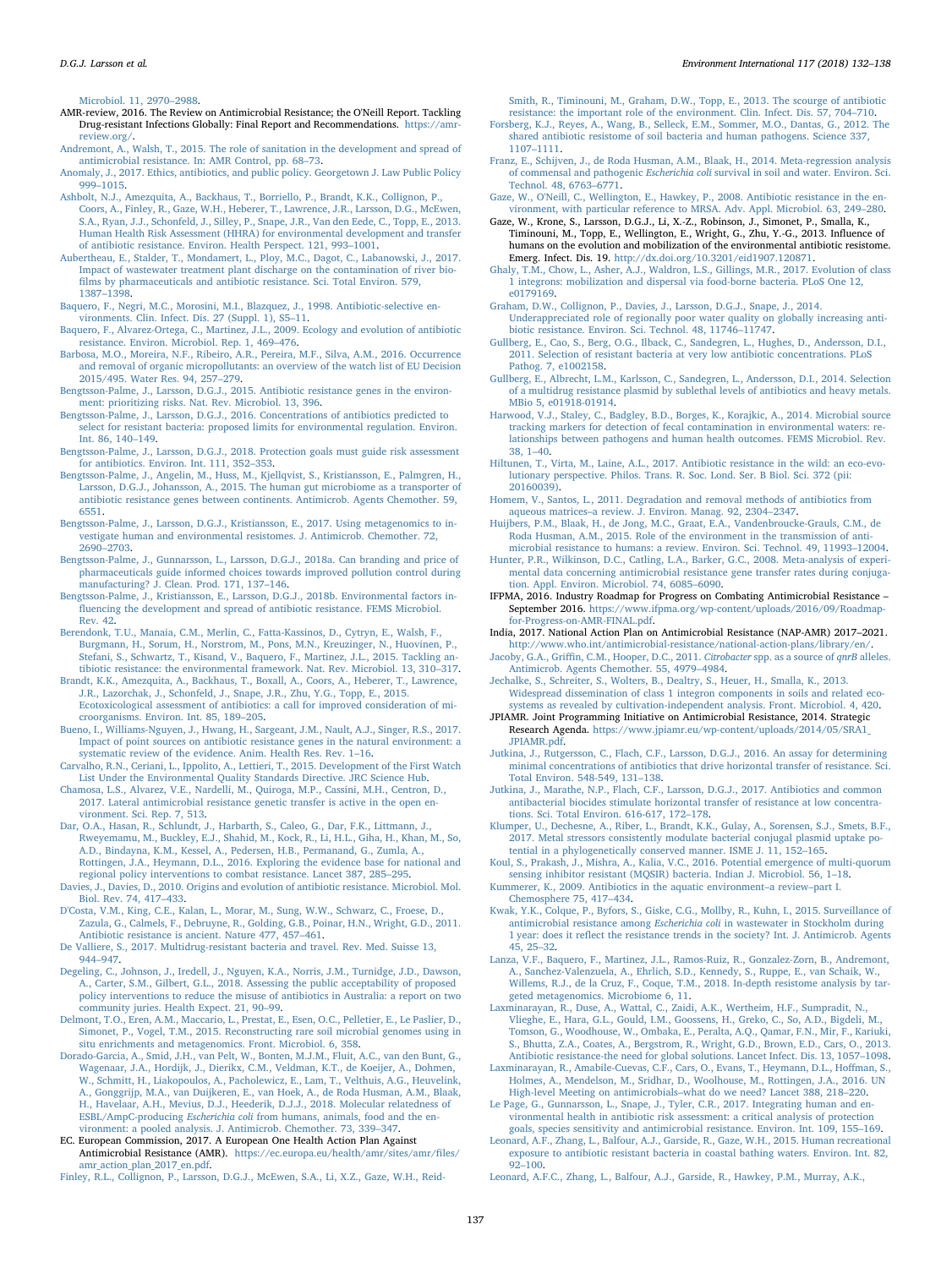[Microbiol. 11, 2970](http://refhub.elsevier.com/S0160-4120(18)30098-9/rf0020)–2988.

- AMR-review, 2016. The Review on Antimicrobial Resistance; the O'Neill Report. Tackling Drug-resistant Infections Globally: Final Report and Recommendations. [https://amr](https://amr-review.org/)[review.org/.](https://amr-review.org/)
- [Andremont, A., Walsh, T., 2015. The role of sanitation in the development and spread of](http://refhub.elsevier.com/S0160-4120(18)30098-9/rf0030) [antimicrobial resistance. In: AMR Control, pp. 68](http://refhub.elsevier.com/S0160-4120(18)30098-9/rf0030)–73.
- [Anomaly, J., 2017. Ethics, antibiotics, and public policy. Georgetown J. Law Public Policy](http://refhub.elsevier.com/S0160-4120(18)30098-9/rf0035) 999–[1015.](http://refhub.elsevier.com/S0160-4120(18)30098-9/rf0035)
- [Ashbolt, N.J., Amezquita, A., Backhaus, T., Borriello, P., Brandt, K.K., Collignon, P.,](http://refhub.elsevier.com/S0160-4120(18)30098-9/rf0040) [Coors, A., Finley, R., Gaze, W.H., Heberer, T., Lawrence, J.R., Larsson, D.G., McEwen,](http://refhub.elsevier.com/S0160-4120(18)30098-9/rf0040) [S.A., Ryan, J.J., Schonfeld, J., Silley, P., Snape, J.R., Van den Eede, C., Topp, E., 2013.](http://refhub.elsevier.com/S0160-4120(18)30098-9/rf0040) [Human Health Risk Assessment \(HHRA\) for environmental development and transfer](http://refhub.elsevier.com/S0160-4120(18)30098-9/rf0040) [of antibiotic resistance. Environ. Health Perspect. 121, 993](http://refhub.elsevier.com/S0160-4120(18)30098-9/rf0040)–1001.
- [Aubertheau, E., Stalder, T., Mondamert, L., Ploy, M.C., Dagot, C., Labanowski, J., 2017.](http://refhub.elsevier.com/S0160-4120(18)30098-9/rf0045) [Impact of wastewater treatment plant discharge on the contamination of river bio](http://refhub.elsevier.com/S0160-4120(18)30098-9/rf0045)fi[lms by pharmaceuticals and antibiotic resistance. Sci. Total Environ. 579,](http://refhub.elsevier.com/S0160-4120(18)30098-9/rf0045) [1387](http://refhub.elsevier.com/S0160-4120(18)30098-9/rf0045)–1398.
- [Baquero, F., Negri, M.C., Morosini, M.I., Blazquez, J., 1998. Antibiotic-selective en-](http://refhub.elsevier.com/S0160-4120(18)30098-9/rf0050)[vironments. Clin. Infect. Dis. 27 \(Suppl. 1\), S5](http://refhub.elsevier.com/S0160-4120(18)30098-9/rf0050)–11.
- [Baquero, F., Alvarez-Ortega, C., Martinez, J.L., 2009. Ecology and evolution of antibiotic](http://refhub.elsevier.com/S0160-4120(18)30098-9/rf0055) [resistance. Environ. Microbiol. Rep. 1, 469](http://refhub.elsevier.com/S0160-4120(18)30098-9/rf0055)–476.
- [Barbosa, M.O., Moreira, N.F., Ribeiro, A.R., Pereira, M.F., Silva, A.M., 2016. Occurrence](http://refhub.elsevier.com/S0160-4120(18)30098-9/rf0060) [and removal of organic micropollutants: an overview of the watch list of EU Decision](http://refhub.elsevier.com/S0160-4120(18)30098-9/rf0060) [2015/495. Water Res. 94, 257](http://refhub.elsevier.com/S0160-4120(18)30098-9/rf0060)–279.
- [Bengtsson-Palme, J., Larsson, D.G.J., 2015. Antibiotic resistance genes in the environ](http://refhub.elsevier.com/S0160-4120(18)30098-9/rf0065)[ment: prioritizing risks. Nat. Rev. Microbiol. 13, 396](http://refhub.elsevier.com/S0160-4120(18)30098-9/rf0065).
- [Bengtsson-Palme, J., Larsson, D.G.J., 2016. Concentrations of antibiotics predicted to](http://refhub.elsevier.com/S0160-4120(18)30098-9/rf0070) [select for resistant bacteria: proposed limits for environmental regulation. Environ.](http://refhub.elsevier.com/S0160-4120(18)30098-9/rf0070) [Int. 86, 140](http://refhub.elsevier.com/S0160-4120(18)30098-9/rf0070)–149.
- [Bengtsson-Palme, J., Larsson, D.G.J., 2018. Protection goals must guide risk assessment](http://refhub.elsevier.com/S0160-4120(18)30098-9/rf0075) [for antibiotics. Environ. Int. 111, 352](http://refhub.elsevier.com/S0160-4120(18)30098-9/rf0075)–353.
- [Bengtsson-Palme, J., Angelin, M., Huss, M., Kjellqvist, S., Kristiansson, E., Palmgren, H.,](http://refhub.elsevier.com/S0160-4120(18)30098-9/rf201805032117291187) [Larsson, D.G.J., Johansson, A., 2015. The human gut microbiome as a transporter of](http://refhub.elsevier.com/S0160-4120(18)30098-9/rf201805032117291187) [antibiotic resistance genes between continents. Antimicrob. Agents Chemother. 59,](http://refhub.elsevier.com/S0160-4120(18)30098-9/rf201805032117291187) [6551.](http://refhub.elsevier.com/S0160-4120(18)30098-9/rf201805032117291187)
- [Bengtsson-Palme, J., Larsson, D.G.J., Kristiansson, E., 2017. Using metagenomics to in](http://refhub.elsevier.com/S0160-4120(18)30098-9/rf0085)[vestigate human and environmental resistomes. J. Antimicrob. Chemother. 72,](http://refhub.elsevier.com/S0160-4120(18)30098-9/rf0085) 2690–[2703](http://refhub.elsevier.com/S0160-4120(18)30098-9/rf0085).
- [Bengtsson-Palme, J., Gunnarsson, L., Larsson, D.G.J., 2018a. Can branding and price of](http://refhub.elsevier.com/S0160-4120(18)30098-9/rf0090) [pharmaceuticals guide informed choices towards improved pollution control during](http://refhub.elsevier.com/S0160-4120(18)30098-9/rf0090) [manufacturing? J. Clean. Prod. 171, 137](http://refhub.elsevier.com/S0160-4120(18)30098-9/rf0090)–146.
- [Bengtsson-Palme, J., Kristiansson, E., Larsson, D.G.J., 2018b. Environmental factors in](http://refhub.elsevier.com/S0160-4120(18)30098-9/rf0095)fl[uencing the development and spread of antibiotic resistance. FEMS Microbiol.](http://refhub.elsevier.com/S0160-4120(18)30098-9/rf0095) [Rev. 42](http://refhub.elsevier.com/S0160-4120(18)30098-9/rf0095).
- [Berendonk, T.U., Manaia, C.M., Merlin, C., Fatta-Kassinos, D., Cytryn, E., Walsh, F.,](http://refhub.elsevier.com/S0160-4120(18)30098-9/rf0100) [Burgmann, H., Sorum, H., Norstrom, M., Pons, M.N., Kreuzinger, N., Huovinen, P.,](http://refhub.elsevier.com/S0160-4120(18)30098-9/rf0100) [Stefani, S., Schwartz, T., Kisand, V., Baquero, F., Martinez, J.L., 2015. Tackling an](http://refhub.elsevier.com/S0160-4120(18)30098-9/rf0100)[tibiotic resistance: the environmental framework. Nat. Rev. Microbiol. 13, 310](http://refhub.elsevier.com/S0160-4120(18)30098-9/rf0100)–317.
- [Brandt, K.K., Amezquita, A., Backhaus, T., Boxall, A., Coors, A., Heberer, T., Lawrence,](http://refhub.elsevier.com/S0160-4120(18)30098-9/rf0105) [J.R., Lazorchak, J., Schonfeld, J., Snape, J.R., Zhu, Y.G., Topp, E., 2015.](http://refhub.elsevier.com/S0160-4120(18)30098-9/rf0105) [Ecotoxicological assessment of antibiotics: a call for improved consideration of mi](http://refhub.elsevier.com/S0160-4120(18)30098-9/rf0105)[croorganisms. Environ. Int. 85, 189](http://refhub.elsevier.com/S0160-4120(18)30098-9/rf0105)–205.
- [Bueno, I., Williams-Nguyen, J., Hwang, H., Sargeant, J.M., Nault, A.J., Singer, R.S., 2017.](http://refhub.elsevier.com/S0160-4120(18)30098-9/rf0110) [Impact of point sources on antibiotic resistance genes in the natural environment: a](http://refhub.elsevier.com/S0160-4120(18)30098-9/rf0110) systematic [review of the evidence. Anim. Health Res. Rev. 1](http://refhub.elsevier.com/S0160-4120(18)30098-9/rf0110)–16.
- [Carvalho, R.N., Ceriani, L., Ippolito, A., Lettieri, T., 2015. Development of the First Watch](http://refhub.elsevier.com/S0160-4120(18)30098-9/rf0120) [List Under the Environmental Quality Standards Directive. JRC Science Hub](http://refhub.elsevier.com/S0160-4120(18)30098-9/rf0120).
- [Chamosa, L.S., Alvarez, V.E., Nardelli, M., Quiroga, M.P., Cassini, M.H., Centron, D.,](http://refhub.elsevier.com/S0160-4120(18)30098-9/rf0125) [2017. Lateral antimicrobial resistance genetic transfer is active in the open en](http://refhub.elsevier.com/S0160-4120(18)30098-9/rf0125)[vironment. Sci. Rep. 7, 513.](http://refhub.elsevier.com/S0160-4120(18)30098-9/rf0125)
- [Dar, O.A., Hasan, R., Schlundt, J., Harbarth, S., Caleo, G., Dar, F.K., Littmann, J.,](http://refhub.elsevier.com/S0160-4120(18)30098-9/rf0130) [Rweyemamu, M., Buckley, E.J., Shahid, M., Kock, R., Li, H.L., Giha, H., Khan, M., So,](http://refhub.elsevier.com/S0160-4120(18)30098-9/rf0130) [A.D., Bindayna, K.M., Kessel, A., Pedersen, H.B., Permanand, G., Zumla, A.,](http://refhub.elsevier.com/S0160-4120(18)30098-9/rf0130) [Rottingen, J.A., Heymann, D.L., 2016. Exploring the evidence base for national and](http://refhub.elsevier.com/S0160-4120(18)30098-9/rf0130) [regional policy interventions to combat resistance. Lancet 387, 285](http://refhub.elsevier.com/S0160-4120(18)30098-9/rf0130)–295.
- [Davies, J., Davies, D., 2010. Origins and evolution of antibiotic resistance. Microbiol. Mol.](http://refhub.elsevier.com/S0160-4120(18)30098-9/rf0135) [Biol. Rev. 74, 417](http://refhub.elsevier.com/S0160-4120(18)30098-9/rf0135)–433.
- [D'Costa, V.M., King, C.E., Kalan, L., Morar, M., Sung, W.W., Schwarz, C., Froese, D.,](http://refhub.elsevier.com/S0160-4120(18)30098-9/rf0140) [Zazula, G., Calmels, F., Debruyne, R., Golding, G.B., Poinar, H.N., Wright, G.D., 2011.](http://refhub.elsevier.com/S0160-4120(18)30098-9/rf0140) [Antibiotic resistance is ancient. Nature 477, 457](http://refhub.elsevier.com/S0160-4120(18)30098-9/rf0140)–461.
- [De Valliere, S., 2017. Multidrug-resistant bacteria and travel. Rev. Med. Suisse 13,](http://refhub.elsevier.com/S0160-4120(18)30098-9/rf0145) 944–[947](http://refhub.elsevier.com/S0160-4120(18)30098-9/rf0145).
- [Degeling, C., Johnson, J., Iredell, J., Nguyen, K.A., Norris, J.M., Turnidge, J.D., Dawson,](http://refhub.elsevier.com/S0160-4120(18)30098-9/rf0150) [A., Carter, S.M., Gilbert, G.L., 2018. Assessing the public acceptability of proposed](http://refhub.elsevier.com/S0160-4120(18)30098-9/rf0150) [policy interventions to reduce the misuse of antibiotics in Australia: a report on two](http://refhub.elsevier.com/S0160-4120(18)30098-9/rf0150) [community juries. Health Expect. 21, 90](http://refhub.elsevier.com/S0160-4120(18)30098-9/rf0150)–99.
- [Delmont, T.O., Eren, A.M., Maccario, L., Prestat, E., Esen, O.C., Pelletier, E., Le Paslier, D.,](http://refhub.elsevier.com/S0160-4120(18)30098-9/rf0155) [Simonet, P., Vogel, T.M., 2015. Reconstructing rare soil microbial genomes using in](http://refhub.elsevier.com/S0160-4120(18)30098-9/rf0155) [situ enrichments and metagenomics. Front. Microbiol. 6, 358](http://refhub.elsevier.com/S0160-4120(18)30098-9/rf0155).
- [Dorado-Garcia, A., Smid, J.H., van Pelt, W., Bonten, M.J.M., Fluit, A.C., van den Bunt, G.,](http://refhub.elsevier.com/S0160-4120(18)30098-9/rf0160) [Wagenaar, J.A., Hordijk, J., Dierikx, C.M., Veldman, K.T., de Koeijer, A., Dohmen,](http://refhub.elsevier.com/S0160-4120(18)30098-9/rf0160) [W., Schmitt, H., Liakopoulos, A., Pacholewicz, E., Lam, T., Velthuis, A.G., Heuvelink,](http://refhub.elsevier.com/S0160-4120(18)30098-9/rf0160) [A., Gonggrijp, M.A., van Duijkeren, E., van Hoek, A., de Roda Husman, A.M., Blaak,](http://refhub.elsevier.com/S0160-4120(18)30098-9/rf0160) [H., Havelaar, A.H., Mevius, D.J., Heederik, D.J.J., 2018. Molecular relatedness of](http://refhub.elsevier.com/S0160-4120(18)30098-9/rf0160) ESBL/AmpC-producing Escherichia coli [from humans, animals, food and the en](http://refhub.elsevier.com/S0160-4120(18)30098-9/rf0160)[vironment: a pooled analysis. J. Antimicrob. Chemother. 73, 339](http://refhub.elsevier.com/S0160-4120(18)30098-9/rf0160)–347.
- EC. European Commission, 2017. A European One Health Action Plan Against Antimicrobial Resistance (AMR). [https://ec.europa.eu/health/amr/sites/amr/](https://ec.europa.eu/health/amr/sites/amr/files/amr_action_plan_2017_en.pdf)files/ [amr\\_action\\_plan\\_2017\\_en.pdf](https://ec.europa.eu/health/amr/sites/amr/files/amr_action_plan_2017_en.pdf).
- [Finley, R.L., Collignon, P., Larsson, D.G.J., McEwen, S.A., Li, X.Z., Gaze, W.H., Reid-](http://refhub.elsevier.com/S0160-4120(18)30098-9/rf0170)

[Smith, R., Timinouni, M., Graham, D.W., Topp, E., 2013. The scourge of antibiotic](http://refhub.elsevier.com/S0160-4120(18)30098-9/rf0170) [resistance: the important role of the environment. Clin. Infect. Dis. 57, 704](http://refhub.elsevier.com/S0160-4120(18)30098-9/rf0170)–710.

- [Forsberg, K.J., Reyes, A., Wang, B., Selleck, E.M., Sommer, M.O., Dantas, G., 2012. The](http://refhub.elsevier.com/S0160-4120(18)30098-9/rf0175) [shared antibiotic resistome of soil bacteria and human pathogens. Science 337,](http://refhub.elsevier.com/S0160-4120(18)30098-9/rf0175) 1107–[1111](http://refhub.elsevier.com/S0160-4120(18)30098-9/rf0175).
- [Franz, E., Schijven, J., de Roda Husman, A.M., Blaak, H., 2014. Meta-regression analysis](http://refhub.elsevier.com/S0160-4120(18)30098-9/rf0180) of commensal and pathogenic Escherichia coli [survival in soil and water. Environ. Sci.](http://refhub.elsevier.com/S0160-4120(18)30098-9/rf0180) [Technol. 48, 6763](http://refhub.elsevier.com/S0160-4120(18)30098-9/rf0180)–6771.
- [Gaze, W., O'Neill, C., Wellington, E., Hawkey, P., 2008. Antibiotic resistance in the en](http://refhub.elsevier.com/S0160-4120(18)30098-9/rf0185)[vironment, with particular reference to MRSA. Adv. Appl. Microbiol. 63, 249](http://refhub.elsevier.com/S0160-4120(18)30098-9/rf0185)–280.
- Gaze, W., Krone, S., Larsson, D.G.J., Li, X.-Z., Robinson, J., Simonet, P., Smalla, K., Timinouni, M., Topp, E., Wellington, E., Wright, G., Zhu, Y.-G., 2013. Influence of humans on the evolution and mobilization of the environmental antibiotic resistome. Emerg. Infect. Dis. 19. [http://dx.doi.org/10.3201/eid1907.120871.](http://dx.doi.org/10.3201/eid1907.120871)
- [Ghaly, T.M., Chow, L., Asher, A.J., Waldron, L.S., Gillings, M.R., 2017. Evolution of class](http://refhub.elsevier.com/S0160-4120(18)30098-9/rf0195) [1 integrons: mobilization and dispersal via food-borne bacteria. PLoS One 12,](http://refhub.elsevier.com/S0160-4120(18)30098-9/rf0195)  $60170160$
- [Graham, D.W., Collignon, P., Davies, J., Larsson, D.G.J., Snape, J., 2014.](http://refhub.elsevier.com/S0160-4120(18)30098-9/rf0200) [Underappreciated role of regionally poor water quality on globally increasing anti](http://refhub.elsevier.com/S0160-4120(18)30098-9/rf0200)biotic [resistance. Environ. Sci. Technol. 48, 11746](http://refhub.elsevier.com/S0160-4120(18)30098-9/rf0200)–11747.
- [Gullberg, E., Cao, S., Berg, O.G., Ilback, C., Sandegren, L., Hughes, D., Andersson, D.I.,](http://refhub.elsevier.com/S0160-4120(18)30098-9/rf0205) [2011. Selection of resistant bacteria at very low antibiotic concentrations. PLoS](http://refhub.elsevier.com/S0160-4120(18)30098-9/rf0205) [Pathog. 7, e1002158.](http://refhub.elsevier.com/S0160-4120(18)30098-9/rf0205)
- [Gullberg, E., Albrecht, L.M., Karlsson, C., Sandegren, L., Andersson, D.I., 2014. Selection](http://refhub.elsevier.com/S0160-4120(18)30098-9/rf0210) [of a multidrug resistance plasmid by sublethal levels of antibiotics and heavy metals.](http://refhub.elsevier.com/S0160-4120(18)30098-9/rf0210) [MBio 5, e01918-01914](http://refhub.elsevier.com/S0160-4120(18)30098-9/rf0210).
- [Harwood, V.J., Staley, C., Badgley, B.D., Borges, K., Korajkic, A., 2014. Microbial source](http://refhub.elsevier.com/S0160-4120(18)30098-9/rf0215) [tracking markers for detection of fecal contamination in environmental waters: re](http://refhub.elsevier.com/S0160-4120(18)30098-9/rf0215)[lationships between pathogens and human health outcomes. FEMS Microbiol. Rev.](http://refhub.elsevier.com/S0160-4120(18)30098-9/rf0215) [38, 1](http://refhub.elsevier.com/S0160-4120(18)30098-9/rf0215)–40.
- [Hiltunen, T., Virta, M., Laine, A.L., 2017. Antibiotic resistance in the wild: an eco-evo](http://refhub.elsevier.com/S0160-4120(18)30098-9/rf0220)[lutionary perspective. Philos. Trans. R. Soc. Lond. Ser. B Biol. Sci. 372 \(pii:](http://refhub.elsevier.com/S0160-4120(18)30098-9/rf0220) [20160039\).](http://refhub.elsevier.com/S0160-4120(18)30098-9/rf0220)
- [Homem, V., Santos, L., 2011. Degradation and removal methods of antibiotics from](http://refhub.elsevier.com/S0160-4120(18)30098-9/rf0225) aqueous matrices–[a review. J. Environ. Manag. 92, 2304](http://refhub.elsevier.com/S0160-4120(18)30098-9/rf0225)–2347.
- [Huijbers, P.M., Blaak, H., de Jong, M.C., Graat, E.A., Vandenbroucke-Grauls, C.M., de](http://refhub.elsevier.com/S0160-4120(18)30098-9/rf0230) [Roda Husman, A.M., 2015. Role of the environment in the transmission of anti](http://refhub.elsevier.com/S0160-4120(18)30098-9/rf0230)[microbial resistance to humans: a review. Environ. Sci. Technol. 49, 11993](http://refhub.elsevier.com/S0160-4120(18)30098-9/rf0230)–12004.
- [Hunter, P.R., Wilkinson, D.C., Catling, L.A., Barker, G.C., 2008. Meta-analysis of experi](http://refhub.elsevier.com/S0160-4120(18)30098-9/rf0235)[mental data concerning antimicrobial resistance gene transfer rates during conjuga](http://refhub.elsevier.com/S0160-4120(18)30098-9/rf0235)[tion. Appl. Environ. Microbiol. 74, 6085](http://refhub.elsevier.com/S0160-4120(18)30098-9/rf0235)–6090.
- IFPMA, 2016. Industry Roadmap for Progress on Combating Antimicrobial Resistance September 2016. [https://www.ifpma.org/wp-content/uploads/2016/09/Roadmap](https://www.ifpma.org/wp-content/uploads/2016/09/Roadmap-for-Progress-on-AMR-FINAL.pdf)[for-Progress-on-AMR-FINAL.pdf](https://www.ifpma.org/wp-content/uploads/2016/09/Roadmap-for-Progress-on-AMR-FINAL.pdf).
- India, 2017. National Action Plan on Antimicrobial Resistance (NAP-AMR) 2017–2021. <http://www.who.int/antimicrobial-resistance/national-action-plans/library/en/>.
- Jacoby, G.A., Griffi[n, C.M., Hooper, D.C., 2011.](http://refhub.elsevier.com/S0160-4120(18)30098-9/rf0250) Citrobacter spp. as a source of qnrB alleles. [Antimicrob. Agents Chemother. 55, 4979](http://refhub.elsevier.com/S0160-4120(18)30098-9/rf0250)–4984.
- [Jechalke, S., Schreiter, S., Wolters, B., Dealtry, S., Heuer, H., Smalla, K., 2013.](http://refhub.elsevier.com/S0160-4120(18)30098-9/rf0255) [Widespread dissemination of class 1 integron components in soils and related eco](http://refhub.elsevier.com/S0160-4120(18)30098-9/rf0255)[systems as revealed by cultivation-independent analysis. Front. Microbiol. 4, 420.](http://refhub.elsevier.com/S0160-4120(18)30098-9/rf0255)
- JPIAMR. Joint Programming Initiative on Antimicrobial Resistance, 2014. Strategic Research Agenda. [https://www.jpiamr.eu/wp-content/uploads/2014/05/SRA1\\_](https://www.jpiamr.eu/wp-content/uploads/2014/05/SRA1_JPIAMR.pdf) [JPIAMR.pdf](https://www.jpiamr.eu/wp-content/uploads/2014/05/SRA1_JPIAMR.pdf).
- [Jutkina, J., Rutgersson, C., Flach, C.F., Larsson, D.G.J., 2016. An assay for determining](http://refhub.elsevier.com/S0160-4120(18)30098-9/rf0265) [minimal concentrations of antibiotics that drive horizontal transfer of resistance. Sci.](http://refhub.elsevier.com/S0160-4120(18)30098-9/rf0265) [Total Environ. 548-549, 131](http://refhub.elsevier.com/S0160-4120(18)30098-9/rf0265)–138.
- [Jutkina, J., Marathe, N.P., Flach, C.F., Larsson, D.G.J., 2017. Antibiotics and common](http://refhub.elsevier.com/S0160-4120(18)30098-9/rf0270) [antibacterial biocides stimulate horizontal transfer of resistance at low concentra](http://refhub.elsevier.com/S0160-4120(18)30098-9/rf0270)[tions. Sci. Total Environ. 616-617, 172](http://refhub.elsevier.com/S0160-4120(18)30098-9/rf0270)–178.
- [Klumper, U., Dechesne, A., Riber, L., Brandt, K.K., Gulay, A., Sorensen, S.J., Smets, B.F.,](http://refhub.elsevier.com/S0160-4120(18)30098-9/rf0275) [2017. Metal stressors consistently modulate bacterial conjugal plasmid uptake po](http://refhub.elsevier.com/S0160-4120(18)30098-9/rf0275)[tential in a phylogenetically conserved manner. ISME J. 11, 152](http://refhub.elsevier.com/S0160-4120(18)30098-9/rf0275)–165.
- [Koul, S., Prakash, J., Mishra, A., Kalia, V.C., 2016. Potential emergence of multi-quorum](http://refhub.elsevier.com/S0160-4120(18)30098-9/rf0280) [sensing inhibitor resistant \(MQSIR\) bacteria. Indian J. Microbiol. 56, 1](http://refhub.elsevier.com/S0160-4120(18)30098-9/rf0280)–18.
- [Kummerer, K., 2009. Antibiotics in the aquatic environment](http://refhub.elsevier.com/S0160-4120(18)30098-9/rf0285)–a review–part I.
- [Chemosphere 75, 417](http://refhub.elsevier.com/S0160-4120(18)30098-9/rf0285)–434. Kwak, [Y.K., Colque, P., Byfors, S., Giske, C.G., Mollby, R., Kuhn, I., 2015. Surveillance of](http://refhub.elsevier.com/S0160-4120(18)30098-9/rf0290) antimicrobial resistance among Escherichia coli [in wastewater in Stockholm during](http://refhub.elsevier.com/S0160-4120(18)30098-9/rf0290) 1 year: does it refl[ect the resistance trends in the society? Int. J. Antimicrob. Agents](http://refhub.elsevier.com/S0160-4120(18)30098-9/rf0290) [45, 25](http://refhub.elsevier.com/S0160-4120(18)30098-9/rf0290)–32.
- [Lanza, V.F., Baquero, F., Martinez, J.L., Ramos-Ruiz, R., Gonzalez-Zorn, B., Andremont,](http://refhub.elsevier.com/S0160-4120(18)30098-9/rf0295) [A., Sanchez-Valenzuela, A., Ehrlich, S.D., Kennedy, S., Ruppe, E., van Schaik, W.,](http://refhub.elsevier.com/S0160-4120(18)30098-9/rf0295) [Willems, R.J., de la Cruz, F., Coque, T.M., 2018. In-depth resistome analysis by tar](http://refhub.elsevier.com/S0160-4120(18)30098-9/rf0295)[geted metagenomics. Microbiome 6, 11](http://refhub.elsevier.com/S0160-4120(18)30098-9/rf0295).
- [Laxminarayan, R., Duse, A., Wattal, C., Zaidi, A.K., Wertheim, H.F., Sumpradit, N.,](http://refhub.elsevier.com/S0160-4120(18)30098-9/rf0300) [Vlieghe, E., Hara, G.L., Gould, I.M., Goossens, H., Greko, C., So, A.D., Bigdeli, M.,](http://refhub.elsevier.com/S0160-4120(18)30098-9/rf0300) [Tomson, G., Woodhouse, W., Ombaka, E., Peralta, A.Q., Qamar, F.N., Mir, F., Kariuki,](http://refhub.elsevier.com/S0160-4120(18)30098-9/rf0300) [S., Bhutta, Z.A., Coates, A., Bergstrom, R., Wright, G.D., Brown, E.D., Cars, O., 2013.](http://refhub.elsevier.com/S0160-4120(18)30098-9/rf0300) [Antibiotic resistance-the need for global solutions. Lancet Infect. Dis. 13, 1057](http://refhub.elsevier.com/S0160-4120(18)30098-9/rf0300)–1098.
- [Laxminarayan, R., Amabile-Cuevas, C.F., Cars, O., Evans, T., Heymann, D.L., Ho](http://refhub.elsevier.com/S0160-4120(18)30098-9/rf0305)ffman, S., [Holmes, A., Mendelson, M., Sridhar, D., Woolhouse, M., Rottingen, J.A., 2016. UN](http://refhub.elsevier.com/S0160-4120(18)30098-9/rf0305) [High-level Meeting on antimicrobials](http://refhub.elsevier.com/S0160-4120(18)30098-9/rf0305)–what do we need? Lancet 388, 218–220.
- [Le Page, G., Gunnarsson, L., Snape, J., Tyler, C.R., 2017. Integrating human and en](http://refhub.elsevier.com/S0160-4120(18)30098-9/rf0310)[vironmental health in antibiotic risk assessment: a critical analysis of protection](http://refhub.elsevier.com/S0160-4120(18)30098-9/rf0310) [goals, species sensitivity and antimicrobial resistance. Environ. Int. 109, 155](http://refhub.elsevier.com/S0160-4120(18)30098-9/rf0310)–169.
- [Leonard, A.F., Zhang, L., Balfour, A.J., Garside, R., Gaze, W.H., 2015. Human recreational](http://refhub.elsevier.com/S0160-4120(18)30098-9/rf0315) [exposure to antibiotic resistant bacteria in coastal bathing waters. Environ. Int. 82,](http://refhub.elsevier.com/S0160-4120(18)30098-9/rf0315) 92–[100.](http://refhub.elsevier.com/S0160-4120(18)30098-9/rf0315)
- Leonard, A.F.C., Zhang, L., Balfour, A.J., Garside, R., Hawkey, P.M., Murray, A.K.